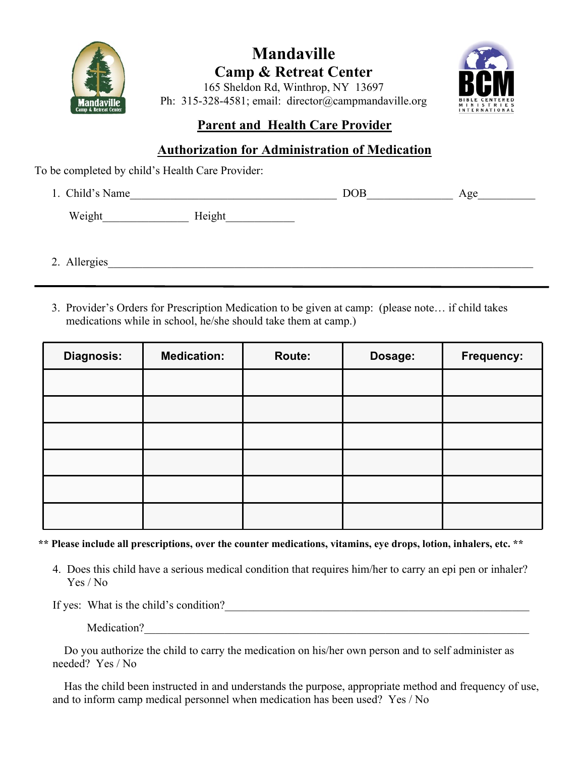

# **Mandaville Camp & Retreat Center**



165 Sheldon Rd, Winthrop, NY 13697 Ph: 315-328-4581; email: director@campmandaville.org

### **Parent and Health Care Provider**

#### **Authorization for Administration of Medication**

To be completed by child's Health Care Provider:

| 1. Child's Name  | <b>DOB</b> | Age |
|------------------|------------|-----|
| Weight<br>Height |            |     |
|                  |            |     |
| 2. Allergies     |            |     |

3. Provider's Orders for Prescription Medication to be given at camp: (please note… if child takes medications while in school, he/she should take them at camp.)

| <b>Diagnosis:</b> | <b>Medication:</b> | Route: | Dosage: | Frequency: |
|-------------------|--------------------|--------|---------|------------|
|                   |                    |        |         |            |
|                   |                    |        |         |            |
|                   |                    |        |         |            |
|                   |                    |        |         |            |
|                   |                    |        |         |            |
|                   |                    |        |         |            |

**\*\* Please include all prescriptions, over the counter medications, vitamins, eye drops, lotion, inhalers, etc. \*\***

4. Does this child have a serious medical condition that requires him/her to carry an epi pen or inhaler? Yes / No

If yes: What is the child's condition?\_\_\_\_\_\_\_\_\_\_\_\_\_\_\_\_\_\_\_\_\_\_\_\_\_\_\_\_\_\_\_\_\_\_\_\_\_\_\_\_\_\_\_\_\_\_\_\_\_\_\_\_\_

Medication?

 Do you authorize the child to carry the medication on his/her own person and to self administer as needed? Yes / No

 Has the child been instructed in and understands the purpose, appropriate method and frequency of use, and to inform camp medical personnel when medication has been used? Yes / No